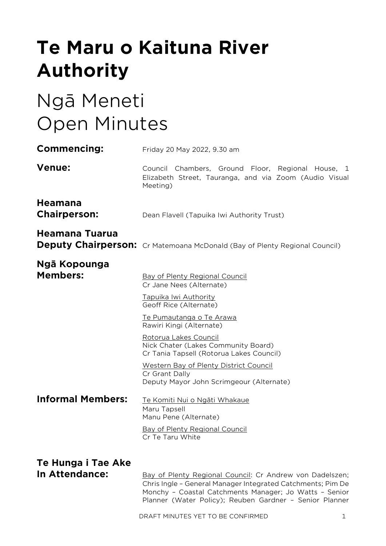# **Te Maru o Kaituna River Authority**

# Ngā Meneti Open Minutes

| <b>Commencing:</b>                    | Friday 20 May 2022, 9.30 am                                                                                                                                                       |
|---------------------------------------|-----------------------------------------------------------------------------------------------------------------------------------------------------------------------------------|
| <b>Venue:</b>                         | Council Chambers, Ground Floor, Regional House, 1<br>Elizabeth Street, Tauranga, and via Zoom (Audio Visual<br>Meeting)                                                           |
| <b>Heamana</b><br><b>Chairperson:</b> | Dean Flavell (Tapuika Iwi Authority Trust)                                                                                                                                        |
| Heamana Tuarua                        | <b>Deputy Chairperson:</b> Cr Matemoana McDonald (Bay of Plenty Regional Council)                                                                                                 |
| Ngā Kopounga<br><b>Members:</b>       | Bay of Plenty Regional Council<br>Cr Jane Nees (Alternate)<br>Tapuika Iwi Authority<br>Geoff Rice (Alternate)                                                                     |
|                                       | Te Pumautanga o Te Arawa<br>Rawiri Kingi (Alternate)                                                                                                                              |
|                                       | Rotorua Lakes Council<br>Nick Chater (Lakes Community Board)<br>Cr Tania Tapsell (Rotorua Lakes Council)                                                                          |
|                                       | <b>Western Bay of Plenty District Council</b><br>Cr Grant Dally<br>Deputy Mayor John Scrimgeour (Alternate)                                                                       |
| <b>Informal Members:</b>              | Te Komiti Nui o Ngāti Whakaue<br>Maru Tapsell<br>Manu Pene (Alternate)                                                                                                            |
|                                       | <b>Bay of Plenty Regional Council</b><br>Cr Te Taru White                                                                                                                         |
| Te Hunga i Tae Ake                    |                                                                                                                                                                                   |
| In Attendance:                        | Bay of Plenty Regional Council: Cr Andrew von Dadelszen;<br>Chris Ingle - General Manager Integrated Catchments; Pim De<br>Monchy - Coastal Catchments Manager; Jo Watts - Senior |

Planner (Water Policy); Reuben Gardner – Senior Planner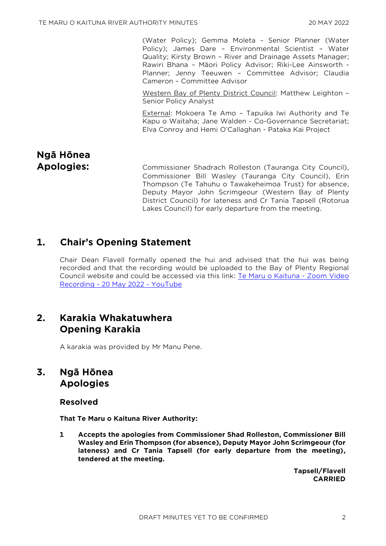(Water Policy); Gemma Moleta - Senior Planner (Water Policy); James Dare – Environmental Scientist – Water Quality; Kirsty Brown – River and Drainage Assets Manager; Rawiri Bhana – Māori Policy Advisor; Riki-Lee Ainsworth - Planner; Jenny Teeuwen – Committee Advisor; Claudia Cameron – Committee Advisor

Western Bay of Plenty District Council: Matthew Leighton – Senior Policy Analyst

External: Mokoera Te Amo – Tapuika Iwi Authority and Te Kapu o Waitaha; Jane Walden - Co-Governance Secretariat; Elva Conroy and Hemi O'Callaghan - Pataka Kai Project

# **Ngā Hōnea**

**Apologies:** Commissioner Shadrach Rolleston (Tauranga City Council), Commissioner Bill Wasley (Tauranga City Council), Erin Thompson (Te Tahuhu o Tawakeheimoa Trust) for absence, Deputy Mayor John Scrimgeour (Western Bay of Plenty District Council) for lateness and Cr Tania Tapsell (Rotorua Lakes Council) for early departure from the meeting.

## **1. Chair's Opening Statement**

Chair Dean Flavell formally opened the hui and advised that the hui was being recorded and that the recording would be uploaded to the Bay of Plenty Regional Council website and could be accessed via this link: [Te Maru o Kaituna -](https://www.youtube.com/watch?v=Dv0n2pQvyeM) Zoom Video Recording - [20 May 2022 -](https://www.youtube.com/watch?v=Dv0n2pQvyeM) YouTube

# **2. Karakia Whakatuwhera Opening Karakia**

A karakia was provided by Mr Manu Pene.

# **3. Ngā Hōnea Apologies**

#### **Resolved**

**That Te Maru o Kaituna River Authority:**

**1 Accepts the apologies from Commissioner Shad Rolleston, Commissioner Bill Wasley and Erin Thompson (for absence), Deputy Mayor John Scrimgeour (for lateness) and Cr Tania Tapsell (for early departure from the meeting), tendered at the meeting.**

> **Tapsell/Flavell CARRIED**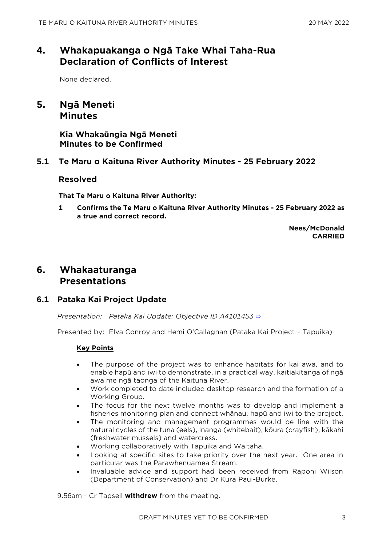# **4. Whakapuakanga o Ngā Take Whai Taha-Rua Declaration of Conflicts of Interest**

None declared.

# **5. Ngā Meneti Minutes**

**Kia Whakaūngia Ngā Meneti Minutes to be Confirmed**

## **5.1 Te Maru o Kaituna River Authority Minutes - 25 February 2022**

#### **Resolved**

**That Te Maru o Kaituna River Authority:**

**1 Confirms the Te Maru o Kaituna River Authority Minutes - 25 February 2022 as a true and correct record.**

> **Nees/McDonald CARRIED**

## **6. Whakaaturanga Presentations**

## **6.1 Pataka Kai Project Update**

*Presentation: Pataka Kai Update: Objective ID A4101453* [⇨](../../../RedirectToInvalidFileName.aspx?FileName=TMOK_20220520_MAT_3530.PDF#PAGE=2)

Presented by: Elva Conroy and Hemi O'Callaghan (Pataka Kai Project – Tapuika)

#### **Key Points**

- The purpose of the project was to enhance habitats for kai awa, and to enable hapū and iwi to demonstrate, in a practical way, kaitiakitanga of ngā awa me ngā taonga of the Kaituna River.
- Work completed to date included desktop research and the formation of a Working Group.
- The focus for the next twelve months was to develop and implement a fisheries monitoring plan and connect whānau, hapū and iwi to the project.
- The monitoring and management programmes would be line with the natural cycles of the tuna (eels), inanga (whitebait), kōura (crayfish), kākahi (freshwater mussels) and watercress.
- Working collaboratively with Tapuika and Waitaha.
- Looking at specific sites to take priority over the next year. One area in particular was the Parawhenuamea Stream.
- Invaluable advice and support had been received from Raponi Wilson (Department of Conservation) and Dr Kura Paul-Burke.

9.56am - Cr Tapsell **withdrew** from the meeting.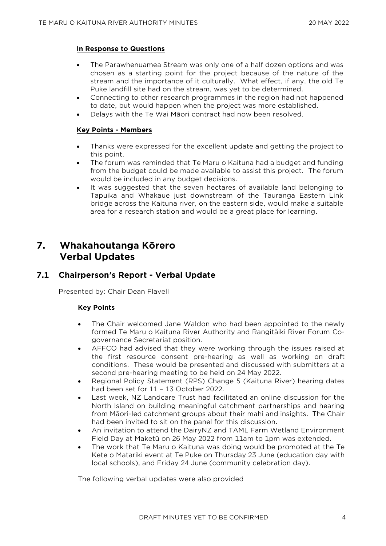#### **In Response to Questions**

- The Parawhenuamea Stream was only one of a half dozen options and was chosen as a starting point for the project because of the nature of the stream and the importance of it culturally. What effect, if any, the old Te Puke landfill site had on the stream, was yet to be determined.
- Connecting to other research programmes in the region had not happened to date, but would happen when the project was more established.
- Delays with the Te Wai Māori contract had now been resolved.

#### **Key Points - Members**

- Thanks were expressed for the excellent update and getting the project to this point.
- The forum was reminded that Te Maru o Kaituna had a budget and funding from the budget could be made available to assist this project. The forum would be included in any budget decisions.
- It was suggested that the seven hectares of available land belonging to Tapuika and Whakaue just downstream of the Tauranga Eastern Link bridge across the Kaituna river, on the eastern side, would make a suitable area for a research station and would be a great place for learning.

# **7. Whakahoutanga Kōrero Verbal Updates**

## **7.1 Chairperson's Report - Verbal Update**

Presented by: Chair Dean Flavell

#### **Key Points**

- The Chair welcomed Jane Waldon who had been appointed to the newly formed Te Maru o Kaituna River Authority and Rangitāiki River Forum Cogovernance Secretariat position.
- AFFCO had advised that they were working through the issues raised at the first resource consent pre-hearing as well as working on draft conditions. These would be presented and discussed with submitters at a second pre-hearing meeting to be held on 24 May 2022.
- Regional Policy Statement (RPS) Change 5 (Kaituna River) hearing dates had been set for 11 – 13 October 2022.
- Last week, NZ Landcare Trust had facilitated an online discussion for the North Island on building meaningful catchment partnerships and hearing from Māori-led catchment groups about their mahi and insights. The Chair had been invited to sit on the panel for this discussion.
- An invitation to attend the DairyNZ and TAML Farm Wetland Environment Field Day at Maketū on 26 May 2022 from 11am to 1pm was extended.
- The work that Te Maru o Kaituna was doing would be promoted at the Te Kete o Matariki event at Te Puke on Thursday 23 June (education day with local schools), and Friday 24 June (community celebration day).

The following verbal updates were also provided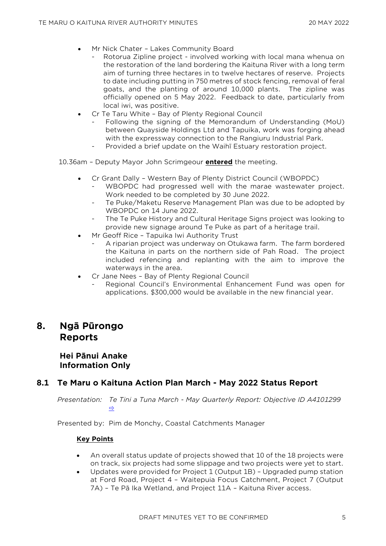- Mr Nick Chater Lakes Community Board
	- Rotorua Zipline project involved working with local mana whenua on the restoration of the land bordering the Kaituna River with a long term aim of turning three hectares in to twelve hectares of reserve. Projects to date including putting in 750 metres of stock fencing, removal of feral goats, and the planting of around 10,000 plants. The zipline was officially opened on 5 May 2022. Feedback to date, particularly from local iwi, was positive.
- Cr Te Taru White Bay of Plenty Regional Council
	- Following the signing of the Memorandum of Understanding (MoU) between Quayside Holdings Ltd and Tapuika, work was forging ahead with the expressway connection to the Rangiuru Industrial Park.
	- Provided a brief update on the Waihī Estuary restoration project.

10.36am – Deputy Mayor John Scrimgeour **entered** the meeting.

- Cr Grant Dally Western Bay of Plenty District Council (WBOPDC)
	- WBOPDC had progressed well with the marae wastewater project. Work needed to be completed by 30 June 2022.
	- Te Puke/Maketu Reserve Management Plan was due to be adopted by WBOPDC on 14 June 2022.
	- The Te Puke History and Cultural Heritage Signs project was looking to provide new signage around Te Puke as part of a heritage trail.
- Mr Geoff Rice Tapuika Iwi Authority Trust
	- A riparian project was underway on Otukawa farm. The farm bordered the Kaituna in parts on the northern side of Pah Road. The project included refencing and replanting with the aim to improve the waterways in the area.
- Cr Jane Nees Bay of Plenty Regional Council
	- Regional Council's Environmental Enhancement Fund was open for applications. \$300,000 would be available in the new financial year.

# **8. Ngā Pūrongo Reports**

**Hei Pānui Anake Information Only**

## **8.1 Te Maru o Kaituna Action Plan March - May 2022 Status Report**

*Presentation: Te Tini a Tuna March - May Quarterly Report: Objective ID A4101299*  [⇨](../../../RedirectToInvalidFileName.aspx?FileName=TMOK_20220520_MAT_3530.PDF#PAGE=7)

Presented by: Pim de Monchy, Coastal Catchments Manager

#### **Key Points**

- An overall status update of projects showed that 10 of the 18 projects were on track, six projects had some slippage and two projects were yet to start.
- Updates were provided for Project 1 (Output 1B) Upgraded pump station at Ford Road, Project 4 – Waitepuia Focus Catchment, Project 7 (Output 7A) – Te Pā Ika Wetland, and Project 11A – Kaituna River access.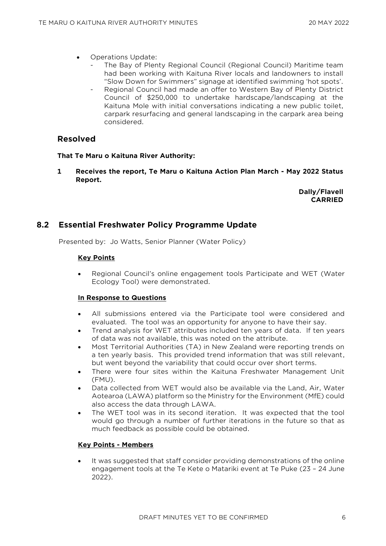- Operations Update:
	- The Bay of Plenty Regional Council (Regional Council) Maritime team had been working with Kaituna River locals and landowners to install "Slow Down for Swimmers" signage at identified swimming 'hot spots'.
	- Regional Council had made an offer to Western Bay of Plenty District Council of \$250,000 to undertake hardscape/landscaping at the Kaituna Mole with initial conversations indicating a new public toilet, carpark resurfacing and general landscaping in the carpark area being considered.

## **Resolved**

#### **That Te Maru o Kaituna River Authority:**

**1 Receives the report, Te Maru o Kaituna Action Plan March - May 2022 Status Report.**

> **Dally/Flavell CARRIED**

## **8.2 Essential Freshwater Policy Programme Update**

Presented by: Jo Watts, Senior Planner (Water Policy)

#### **Key Points**

• Regional Council's online engagement tools Participate and WET (Water Ecology Tool) were demonstrated.

#### **In Response to Questions**

- All submissions entered via the Participate tool were considered and evaluated. The tool was an opportunity for anyone to have their say.
- Trend analysis for WET attributes included ten years of data. If ten years of data was not available, this was noted on the attribute.
- Most Territorial Authorities (TA) in New Zealand were reporting trends on a ten yearly basis. This provided trend information that was still relevant, but went beyond the variability that could occur over short terms.
- There were four sites within the Kaituna Freshwater Management Unit (FMU).
- Data collected from WET would also be available via the Land, Air, Water Aotearoa (LAWA) platform so the Ministry for the Environment (MfE) could also access the data through LAWA.
- The WET tool was in its second iteration. It was expected that the tool would go through a number of further iterations in the future so that as much feedback as possible could be obtained.

#### **Key Points - Members**

It was suggested that staff consider providing demonstrations of the online engagement tools at the Te Kete o Matariki event at Te Puke (23 – 24 June 2022).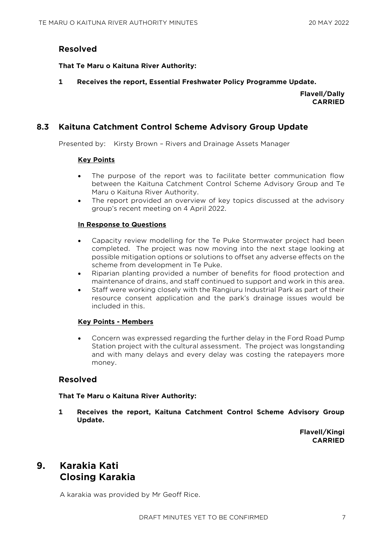#### **Resolved**

#### **That Te Maru o Kaituna River Authority:**

**1 Receives the report, Essential Freshwater Policy Programme Update.**

**Flavell/Dally CARRIED**

### **8.3 Kaituna Catchment Control Scheme Advisory Group Update**

Presented by: Kirsty Brown – Rivers and Drainage Assets Manager

#### **Key Points**

- The purpose of the report was to facilitate better communication flow between the Kaituna Catchment Control Scheme Advisory Group and Te Maru o Kaituna River Authority.
- The report provided an overview of key topics discussed at the advisory group's recent meeting on 4 April 2022.

#### **In Response to Questions**

- Capacity review modelling for the Te Puke Stormwater project had been completed. The project was now moving into the next stage looking at possible mitigation options or solutions to offset any adverse effects on the scheme from development in Te Puke.
- Riparian planting provided a number of benefits for flood protection and maintenance of drains, and staff continued to support and work in this area.
- Staff were working closely with the Rangiuru Industrial Park as part of their resource consent application and the park's drainage issues would be included in this.

#### **Key Points - Members**

• Concern was expressed regarding the further delay in the Ford Road Pump Station project with the cultural assessment. The project was longstanding and with many delays and every delay was costing the ratepayers more money.

## **Resolved**

#### **That Te Maru o Kaituna River Authority:**

**1 Receives the report, Kaituna Catchment Control Scheme Advisory Group Update.**

> **Flavell/Kingi CARRIED**

# **9. Karakia Kati Closing Karakia**

A karakia was provided by Mr Geoff Rice.